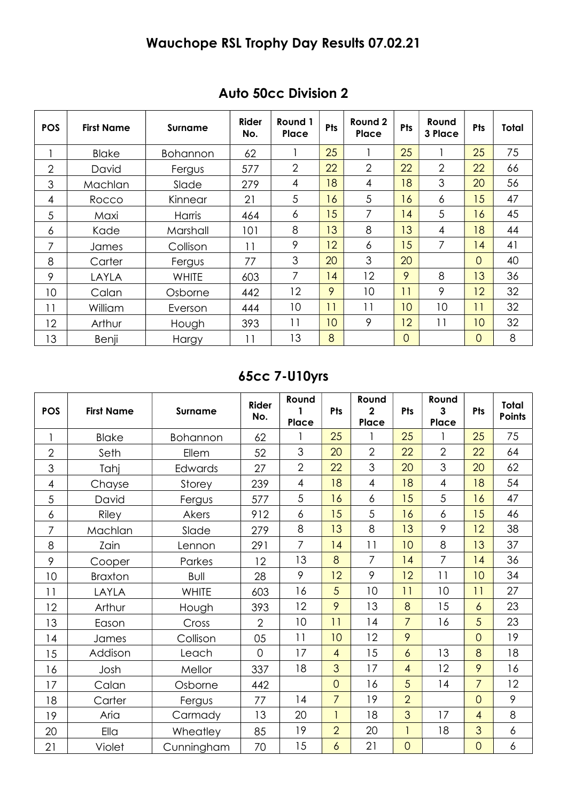| <b>POS</b>     | <b>First Name</b> | Surname         | Rider<br>No. | Round 1<br>Place | <b>Pts</b> | Round 2<br>Place | <b>Pts</b>      | Round<br>3 Place | <b>Pts</b>      | Total |
|----------------|-------------------|-----------------|--------------|------------------|------------|------------------|-----------------|------------------|-----------------|-------|
|                | <b>Blake</b>      | <b>Bohannon</b> | 62           |                  | 25         |                  | 25              |                  | 25              | 75    |
| $\overline{2}$ | David             | Fergus          | 577          | 2                | 22         | 2                | 22              | 2                | 22              | 66    |
| 3              | Machlan           | Slade           | 279          | 4                | 18         | 4                | 18              | 3                | 20              | 56    |
| 4              | Rocco             | Kinnear         | 21           | 5                | 16         | 5                | 16              | 6                | 15              | 47    |
| 5              | Maxi              | <b>Harris</b>   | 464          | 6                | 15         | 7                | 4               | 5                | 16              | 45    |
| 6              | Kade              | Marshall        | 101          | 8                | 13         | 8                | 13              | 4                | 18              | 44    |
| $\overline{7}$ | James             | Collison        | 11           | 9                | 12         | 6                | 15              | 7                | 14              | 41    |
| 8              | Carter            | Fergus          | 77           | 3                | 20         | 3                | 20              |                  | $\overline{O}$  | 40    |
| 9              | LAYLA             | <b>WHITE</b>    | 603          | 7                | 14         | 12               | 9               | 8                | 13              | 36    |
| 10             | Calan             | Osborne         | 442          | 12               | 9          | 10 <sup>°</sup>  | 11              | 9                | 12 <sup>2</sup> | 32    |
| $\overline{1}$ | William           | Everson         | 444          | 10               | 11         | 11               | 10              | 10               | 11              | 32    |
| 12             | Arthur            | Hough           | 393          | 11               | 10         | 9                | 12 <sup>°</sup> | 11               | 10              | 32    |
| 13             | Benji             | Hargy           | 11           | 13               | 8          |                  | $\overline{0}$  |                  | $\overline{0}$  | 8     |

### Auto 50cc Division 2

# 65cc 7-U10yrs

| <b>POS</b>     | <b>First Name</b> | <b>Surname</b> | <b>Rider</b><br>No. | Round<br>Place | <b>Pts</b>     | Round<br>$\mathbf{2}$<br>Place | <b>Pts</b>     | Round<br>3<br>Place | <b>Pts</b>     | <b>Total</b><br><b>Points</b> |
|----------------|-------------------|----------------|---------------------|----------------|----------------|--------------------------------|----------------|---------------------|----------------|-------------------------------|
| 1              | <b>Blake</b>      | Bohannon       | 62                  |                | 25             |                                | 25             |                     | 25             | 75                            |
| $\overline{2}$ | Seth              | Ellem          | 52                  | 3              | 20             | $\overline{2}$                 | 22             | $\overline{2}$      | 22             | 64                            |
| 3              | Tahj              | Edwards        | 27                  | $\overline{2}$ | 22             | 3                              | 20             | 3                   | 20             | 62                            |
| 4              | Chayse            | Storey         | 239                 | 4              | 18             | $\overline{4}$                 | 18             | 4                   | 18             | 54                            |
| 5              | David             | Fergus         | 577                 | 5              | 16             | 6                              | 15             | 5                   | 16             | 47                            |
| 6              | Riley             | Akers          | 912                 | 6              | 15             | 5                              | 16             | 6                   | 15             | 46                            |
| 7              | Machlan           | Slade          | 279                 | 8              | 13             | 8                              | 13             | 9                   | 12             | 38                            |
| 8              | Zain              | Lennon         | 291                 | 7              | 14             | 11                             | 10             | 8                   | 13             | 37                            |
| 9              | Cooper            | Parkes         | 12                  | 13             | 8              | $\overline{7}$                 | 14             | $\overline{7}$      | 14             | 36                            |
| 10             | <b>Braxton</b>    | Bull           | 28                  | 9              | 12             | 9                              | 12             | 11                  | 10             | 34                            |
| 11             | LAYLA             | <b>WHITE</b>   | 603                 | 16             | 5              | 10                             | 11             | 10                  | 11             | 27                            |
| 12             | Arthur            | Hough          | 393                 | 12             | 9              | 13                             | 8              | 15                  | $\overline{6}$ | 23                            |
| 13             | Eason             | Cross          | $\overline{2}$      | 10             | 11             | 14                             | $\overline{7}$ | 16                  | 5              | 23                            |
| 14             | James             | Collison       | 05                  | 11             | 10             | 12                             | 9              |                     | $\overline{O}$ | 19                            |
| 15             | Addison           | Leach          | $\Omega$            | 17             | $\overline{4}$ | 15                             | $\overline{6}$ | 13                  | 8              | 18                            |
| 16             | Josh              | Mellor         | 337                 | 18             | 3              | 17                             | $\overline{4}$ | 12                  | 9              | 16                            |
| 17             | Calan             | Osborne        | 442                 |                | $\overline{O}$ | 16                             | 5              | 14                  | $\overline{7}$ | 12                            |
| 18             | Carter            | Fergus         | 77                  | 14             | $\overline{7}$ | 19                             | $\overline{2}$ |                     | $\overline{O}$ | 9                             |
| 19             | Aria              | Carmady        | 13                  | 20             | $\overline{1}$ | 18                             | 3              | 17                  | $\overline{4}$ | 8                             |
| 20             | Ella              | Wheatley       | 85                  | 19             | $\overline{2}$ | 20                             | $\mathbf{1}$   | 18                  | 3              | 6                             |
| 21             | Violet            | Cunningham     | 70                  | 15             | 6              | 21                             | $\overline{0}$ |                     | $\overline{0}$ | 6                             |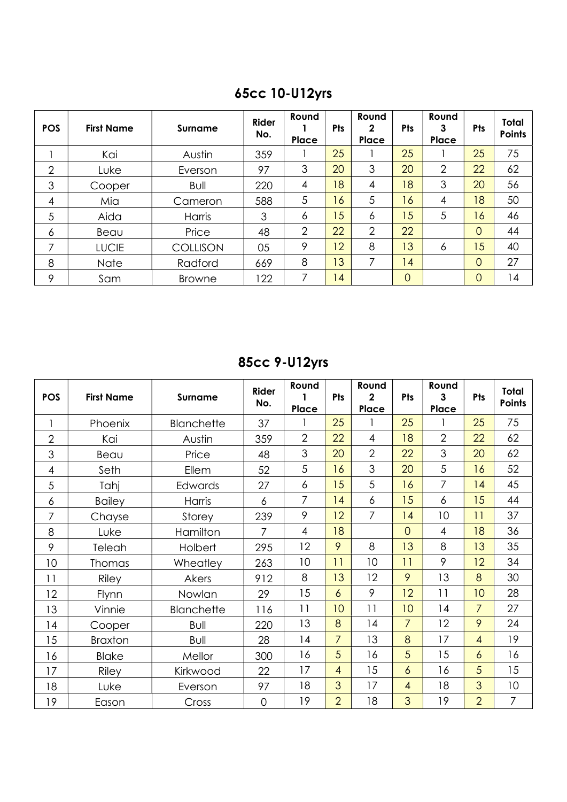| <b>POS</b> | <b>First Name</b> | Surname         | <b>Rider</b><br>No. | Round<br>Place | <b>Pts</b> | Round<br>2<br>Place | <b>Pts</b>     | Round<br>3<br>Place | <b>Pts</b>      | <b>Total</b><br><b>Points</b> |
|------------|-------------------|-----------------|---------------------|----------------|------------|---------------------|----------------|---------------------|-----------------|-------------------------------|
|            | Kai               | Austin          | 359                 |                | 25         |                     | 25             |                     | 25              | 75                            |
| 2          | Luke              | Everson         | 97                  | 3              | 20         | 3                   | 20             | $\overline{2}$      | 22              | 62                            |
| 3          | Cooper            | Bull            | 220                 | 4              | 18         | 4                   | 18             | 3                   | 20              | 56                            |
| 4          | Mia               | Cameron         | 588                 | 5              | 16         | 5                   | $\overline{6}$ | 4                   | 18              | 50                            |
| 5          | Aida              | Harris          | 3                   | 6              | 15         | 6                   | 5              | 5                   | 16              | 46                            |
| 6          | Beau              | Price           | 48                  | $\overline{2}$ | 22         | $\overline{2}$      | 22             |                     | 0               | 44                            |
| 7          | <b>LUCIE</b>      | <b>COLLISON</b> | 05                  | 9              | 12         | 8                   | 13             | 6                   | $\overline{15}$ | 40                            |
| 8          | Nate              | Radford         | 669                 | 8              | 13         | 7                   | $\overline{4}$ |                     | 0               | 27                            |
| 9          | Sam               | <b>Browne</b>   | 122                 | 7              | 4          |                     | 0              |                     | 0               | 14                            |

# 65cc 10-U12yrs

| 85cc 9-U12yrs |  |  |
|---------------|--|--|
|---------------|--|--|

| <b>POS</b>     | <b>First Name</b> | <b>Surname</b> | <b>Rider</b><br>No. | Round<br>Place | <b>Pts</b>     | Round<br>$\mathbf{2}$<br>Place | <b>Pts</b>     | Round<br>3<br>Place | <b>Pts</b>     | <b>Total</b><br><b>Points</b> |
|----------------|-------------------|----------------|---------------------|----------------|----------------|--------------------------------|----------------|---------------------|----------------|-------------------------------|
| 1              | Phoenix           | Blanchette     | 37                  |                | 25             |                                | 25             |                     | 25             | 75                            |
| $\overline{2}$ | Kai               | Austin         | 359                 | $\overline{2}$ | 22             | $\overline{4}$                 | 18             | $\overline{2}$      | 22             | 62                            |
| 3              | Beau              | Price          | 48                  | 3              | 20             | $\overline{2}$                 | 22             | 3                   | 20             | 62                            |
| 4              | Seth              | Ellem          | 52                  | 5              | 16             | 3                              | 20             | 5                   | 16             | 52                            |
| 5              | Tahj              | Edwards        | 27                  | 6              | 15             | 5                              | 16             | $\overline{7}$      | 14             | 45                            |
| 6              | <b>Bailey</b>     | Harris         | 6                   | 7              | 14             | 6                              | 15             | 6                   | 15             | 44                            |
| 7              | Chayse            | Storey         | 239                 | 9              | 12             | 7                              | 14             | 10                  | 11             | 37                            |
| 8              | Luke              | Hamilton       | 7                   | 4              | 18             |                                | $\overline{0}$ | $\overline{4}$      | 18             | 36                            |
| 9              | Teleah            | Holbert        | 295                 | 12             | 9              | 8                              | 13             | 8                   | 13             | 35                            |
| 10             | Thomas            | Wheatley       | 263                 | 10             | 11             | 10                             | 11             | 9                   | 12             | 34                            |
| 11             | Riley             | Akers          | 912                 | 8              | 13             | 12                             | 9              | 13                  | 8              | 30                            |
| 12             | Flynn             | Nowlan         | 29                  | 15             | 6              | 9                              | 12             | 11                  | 10             | 28                            |
| 13             | Vinnie            | Blanchette     | 116                 | 11             | 10             | 11                             | 10             | 14                  | $\overline{7}$ | 27                            |
| 4              | Cooper            | Bull           | 220                 | 13             | 8              | 14                             | $\overline{7}$ | 12                  | 9              | 24                            |
| 15             | <b>Braxton</b>    | Bull           | 28                  | 14             | $\overline{7}$ | 13                             | 8              | 17                  | $\overline{4}$ | 19                            |
| 16             | <b>Blake</b>      | Mellor         | 300                 | 16             | 5              | 16                             | 5              | 15                  | 6              | 16                            |
| 17             | Riley             | Kirkwood       | 22                  | 17             | $\overline{4}$ | 15                             | $\overline{6}$ | 16                  | 5              | 15                            |
| 18             | Luke              | Everson        | 97                  | 18             | 3              | 17                             | $\overline{4}$ | 18                  | 3              | 10                            |
| 19             | Eason             | Cross          | $\overline{0}$      | 19             | $\overline{2}$ | 18                             | 3              | 19                  | $\overline{2}$ | $\overline{7}$                |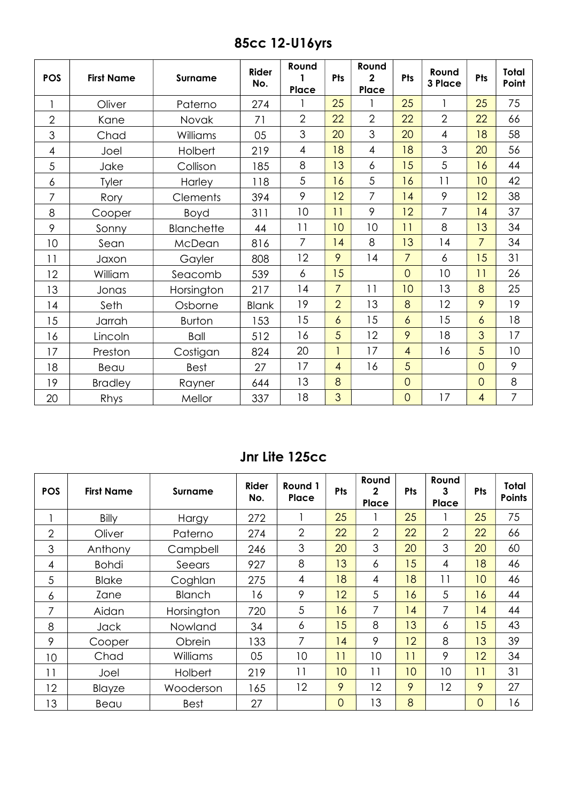| <b>POS</b>     | <b>First Name</b> | <b>Surname</b>  | <b>Rider</b><br>No. | Round<br>Place | <b>Pts</b>     | Round<br>$\mathbf{2}$<br>Place | <b>Pts</b>     | Round<br>3 Place | <b>Pts</b>     | <b>Total</b><br>Point |
|----------------|-------------------|-----------------|---------------------|----------------|----------------|--------------------------------|----------------|------------------|----------------|-----------------------|
| $\mathbf{1}$   | Oliver            | Paterno         | 274                 |                | 25             |                                | 25             |                  | 25             | 75                    |
| $\overline{2}$ | Kane              | Novak           | 71                  | $\overline{2}$ | 22             | $\overline{2}$                 | 22             | $\overline{2}$   | 22             | 66                    |
| 3              | Chad              | Williams        | 05                  | 3              | 20             | 3                              | 20             | $\overline{4}$   | 18             | 58                    |
| $\overline{4}$ | Joel              | Holbert         | 219                 | $\overline{4}$ | 18             | $\overline{4}$                 | 18             | 3                | 20             | 56                    |
| 5              | Jake              | Collison        | 185                 | 8              | 13             | 6                              | 15             | 5                | 16             | 44                    |
| 6              | Tyler             | Harley          | 118                 | 5              | 16             | 5                              | 16             | 11               | 10             | 42                    |
| 7              | Rory              | <b>Clements</b> | 394                 | 9              | 12             | 7                              | 14             | 9                | 12             | 38                    |
| 8              | Cooper            | Boyd            | 311                 | 10             | 11             | 9                              | 12             | $\overline{7}$   | 14             | 37                    |
| 9              | Sonny             | Blanchette      | 44                  | 11             | 10             | 10                             | 11             | 8                | 13             | 34                    |
| 10             | Sean              | McDean          | 816                 | $\overline{7}$ | 14             | 8                              | 13             | 14               | $\overline{7}$ | 34                    |
| 11             | Jaxon             | Gayler          | 808                 | 12             | 9              | 14                             | $\overline{7}$ | $\overline{6}$   | 15             | 31                    |
| 12             | William           | Seacomb         | 539                 | 6              | 15             |                                | $\overline{0}$ | 10               | 11             | 26                    |
| 13             | Jonas             | Horsington      | 217                 | 14             | $\overline{7}$ | 11                             | 10             | 13               | 8              | 25                    |
| 14             | Seth              | Osborne         | <b>Blank</b>        | 19             | $\overline{2}$ | 13                             | 8              | 12               | 9              | 19                    |
| 15             | Jarrah            | <b>Burton</b>   | 153                 | 15             | 6              | 15                             | 6              | 15               | 6              | 18                    |
| 16             | Lincoln           | <b>Ball</b>     | 512                 | 16             | 5              | 12                             | 9              | 18               | 3              | 17                    |
| 17             | Preston           | Costigan        | 824                 | 20             | $\mathbf{1}$   | 17                             | $\overline{4}$ | 16               | 5              | 10                    |
| 18             | Beau              | <b>Best</b>     | 27                  | 17             | $\overline{4}$ | 16                             | 5              |                  | $\overline{O}$ | 9                     |
| 19             | <b>Bradley</b>    | Rayner          | 644                 | 13             | 8              |                                | $\overline{0}$ |                  | $\overline{0}$ | 8                     |
| 20             | Rhys              | Mellor          | 337                 | 18             | 3              |                                | $\overline{0}$ | 17               | $\overline{4}$ | $\overline{7}$        |

# 85cc 12-U16yrs

## Jnr Lite 125cc

| <b>POS</b>     | <b>First Name</b> | Surname         | <b>Rider</b><br>No. | Round 1<br>Place | <b>Pts</b>     | Round<br>2<br>Place | <b>Pts</b> | Round<br>3<br>Place | <b>Pts</b>     | Total<br><b>Points</b> |
|----------------|-------------------|-----------------|---------------------|------------------|----------------|---------------------|------------|---------------------|----------------|------------------------|
|                | Billy             | Hargy           | 272                 |                  | 25             |                     | 25         |                     | 25             | 75                     |
| $\overline{2}$ | Oliver            | Paterno         | 274                 | $\overline{2}$   | 22             | $\overline{2}$      | 22         | $\overline{2}$      | 22             | 66                     |
| 3              | Anthony           | Campbell        | 246                 | 3                | 20             | 3                   | 20         | 3                   | 20             | 60                     |
| $\overline{4}$ | <b>Bohdi</b>      | Seears          | 927                 | 8                | 13             | 6                   | 15         | 4                   | 18             | 46                     |
| 5              | <b>Blake</b>      | Coghlan         | 275                 | 4                | 18             | 4                   | 18         | 11                  | 10             | 46                     |
| 6              | Zane              | Blanch          | 16                  | 9                | 12             | 5                   | 16         | 5                   | 16             | 44                     |
| 7              | Aidan             | Horsington      | 720                 | 5                | 16             | 7                   | 14         | 7                   | 14             | 44                     |
| 8              | Jack              | Nowland         | 34                  | 6                | 15             | 8                   | 13         | 6                   | 15             | 43                     |
| 9              | Cooper            | Obrein          | 133                 | $\overline{7}$   | 14             | 9                   | 12         | 8                   | 13             | 39                     |
| 10             | Chad              | <b>Williams</b> | 05                  | 10               | 11             | 10                  | 11         | 9                   | 12             | 34                     |
| 11             | Joel              | Holbert         | 219                 | 11               | 10             | 11                  | 10         | 10                  | 11             | 31                     |
| 12             | Blayze            | Wooderson       | 165                 | 12               | 9              | 12                  | 9          | 12                  | 9              | 27                     |
| 13             | Beau              | <b>Best</b>     | 27                  |                  | $\overline{0}$ | 13                  | 8          |                     | $\overline{0}$ | 16                     |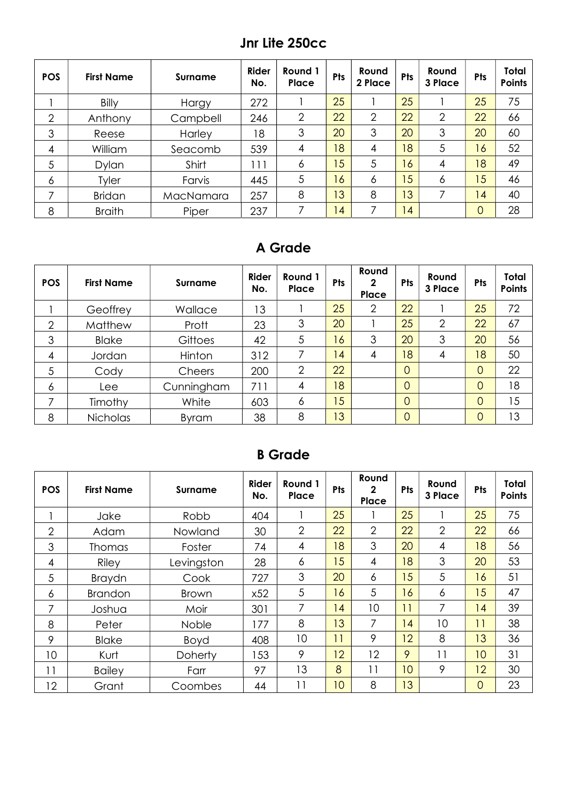## Jnr Lite 250cc

| <b>POS</b>     | <b>First Name</b> | Surname   | Rider<br>No. | Round 1<br>Place | <b>Pts</b>     | Round<br>2 Place | <b>Pts</b>     | Round<br>3 Place | <b>Pts</b>     | Total<br><b>Points</b> |
|----------------|-------------------|-----------|--------------|------------------|----------------|------------------|----------------|------------------|----------------|------------------------|
|                | Billy             | Hargy     | 272          |                  | 25             |                  | 25             |                  | 25             | 75                     |
| $\overline{2}$ | Anthony           | Campbell  | 246          | $\overline{2}$   | 22             | $\overline{2}$   | 22             | $\overline{2}$   | 22             | 66                     |
| 3              | Reese             | Harley    | 18           | 3                | 20             | 3                | 20             | 3                | 20             | 60                     |
| 4              | William           | Seacomb   | 539          | 4                | 18             | 4                | 18             | 5                | 16             | 52                     |
| 5              | Dylan             | Shirt     | 111          | 6                | $\overline{5}$ | 5                | 16             | 4                | 18             | 49                     |
| 6              | Tyler             | Farvis    | 445          | 5                | $\overline{6}$ | 6                | $\overline{5}$ | 6                | 15             | 46                     |
|                | <b>Bridan</b>     | MacNamara | 257          | 8                | 13             | 8                | 13             | 7                | 14             | 40                     |
| 8              | <b>Braith</b>     | Piper     | 237          | 7                | $\overline{4}$ |                  | 4              |                  | $\overline{O}$ | 28                     |

#### A Grade

| <b>POS</b> | <b>First Name</b> | Surname      | Rider<br>No. | Round 1<br>Place | <b>Pts</b> | Round<br>2<br>Place | <b>Pts</b>     | Round<br>3 Place | <b>Pts</b>     | <b>Total</b><br>Points |
|------------|-------------------|--------------|--------------|------------------|------------|---------------------|----------------|------------------|----------------|------------------------|
|            | Geoffrey          | Wallace      | 13           |                  | 25         | $\overline{2}$      | 22             |                  | 25             | 72                     |
| 2          | Matthew           | Prott        | 23           | 3                | 20         |                     | 25             | 2                | 22             | 67                     |
| 3          | <b>Blake</b>      | Gittoes      | 42           | 5                | 16         | 3                   | 20             | 3                | 20             | 56                     |
| 4          | Jordan            | Hinton       | 312          |                  | 4          | 4                   | 18             | 4                | 18             | 50                     |
| 5          | Cody              | Cheers       | 200          | $\overline{2}$   | 22         |                     | $\overline{0}$ |                  | $\overline{0}$ | 22                     |
| 6          | Lee               | Cunningham   | 711          | $\overline{4}$   | 18         |                     | $\overline{O}$ |                  | $\overline{0}$ | 18                     |
| 7          | Timothy           | White        | 603          | 6                | 15         |                     | $\overline{0}$ |                  | $\overline{0}$ | 15                     |
| 8          | <b>Nicholas</b>   | <b>Byram</b> | 38           | 8                | 13         |                     | $\overline{0}$ |                  | $\mathbf 0$    | 13                     |

#### B Grade

| <b>POS</b>     | <b>First Name</b> | Surname        | Rider<br>No. | Round 1<br>Place | <b>Pts</b> | Round<br>$\mathbf 2$<br>Place | <b>Pts</b> | Round<br>3 Place | <b>Pts</b>     | Total<br><b>Points</b> |
|----------------|-------------------|----------------|--------------|------------------|------------|-------------------------------|------------|------------------|----------------|------------------------|
|                | Jake              | Robb           | 404          |                  | 25         |                               | 25         |                  | 25             | 75                     |
| $\overline{2}$ | Adam              | Nowland        | 30           | $\overline{2}$   | 22         | $\overline{2}$                | 22         | $\overline{2}$   | 22             | 66                     |
| 3              | Thomas            | Foster         | 74           | 4                | 18         | 3                             | 20         | 4                | 18             | 56                     |
| 4              | Riley             | Levingston     | 28           | 6                | 15         | 4                             | 18         | 3                | 20             | 53                     |
| 5              | <b>Braydn</b>     | Cook           | 727          | 3                | 20         | 6                             | 15         | 5                | 16             | 51                     |
| 6              | <b>Brandon</b>    | <b>Brown</b>   | x52          | 5                | 16         | 5                             | 16         | 6                | 15             | 47                     |
| 7              | Joshua            | Moir           | 301          | 7                | 4          | 10                            | 11         | 7                | 14             | 39                     |
| 8              | Peter             | Noble          | 177          | 8                | 13         | 7                             | 14         | 10               | 11             | 38                     |
| 9              | <b>Blake</b>      | Boyd           | 408          | 10               | 11         | 9                             | 12         | 8                | 13             | 36                     |
| 10             | Kurt              | <b>Doherty</b> | 153          | 9                | 12         | $12 \overline{ }$             | 9          | 11               | 10             | 31                     |
| 11             | <b>Bailey</b>     | Farr           | 97           | 13               | 8          | 11                            | 10         | 9                | 12             | 30                     |
| 12             | Grant             | Coombes        | 44           | 11               | 10         | 8                             | 13         |                  | $\overline{0}$ | 23                     |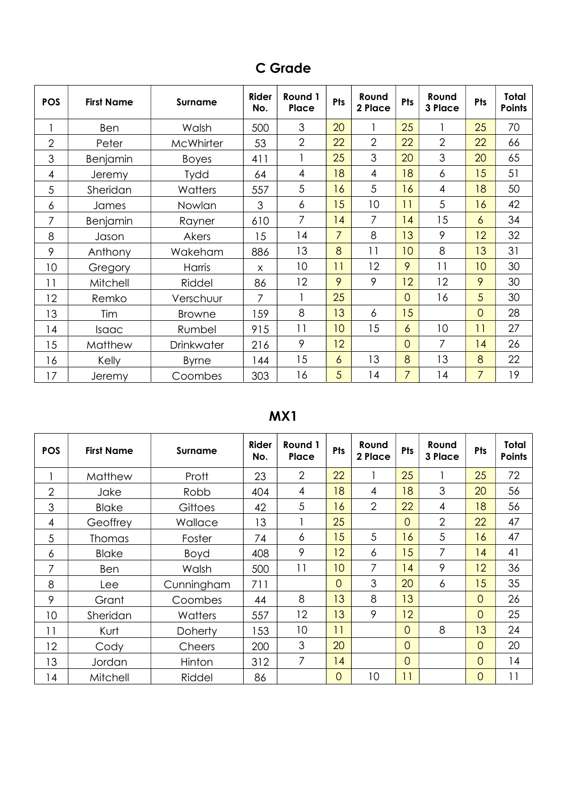| <b>POS</b>     | <b>First Name</b> | <b>Surname</b>   | Rider<br>No.   | Round 1<br>Place | <b>Pts</b>     | Round<br>2 Place | <b>Pts</b>     | Round<br>3 Place | <b>Pts</b>     | Total<br><b>Points</b> |
|----------------|-------------------|------------------|----------------|------------------|----------------|------------------|----------------|------------------|----------------|------------------------|
|                | Ben               | Walsh            | 500            | 3                | 20             |                  | 25             |                  | 25             | 70                     |
| $\overline{2}$ | Peter             | <b>McWhirter</b> | 53             | $\overline{2}$   | 22             | $\overline{2}$   | 22             | $\overline{2}$   | 22             | 66                     |
| 3              | Benjamin          | <b>Boyes</b>     | 411            |                  | 25             | 3                | 20             | 3                | 20             | 65                     |
| 4              | Jeremy            | Tydd             | 64             | 4                | 18             | $\overline{4}$   | 18             | 6                | 15             | 51                     |
| 5              | Sheridan          | Watters          | 557            | 5                | 16             | 5                | 16             | 4                | 18             | 50                     |
| 6              | James             | Nowlan           | 3              | 6                | 15             | 10               | 11             | 5                | 16             | 42                     |
| 7              | Benjamin          | Rayner           | 610            | 7                | 14             | 7                | 14             | 15               | 6              | 34                     |
| 8              | Jason             | Akers            | 15             | 14               | $\overline{7}$ | 8                | 13             | 9                | 12             | 32                     |
| 9              | Anthony           | Wakeham          | 886            | 13               | 8              | 11               | 10             | 8                | 13             | 31                     |
| 10             | Gregory           | <b>Harris</b>    | X              | 10               | 11             | 12               | 9              | 11               | 10             | 30                     |
| 11             | Mitchell          | Riddel           | 86             | 12               | 9              | 9                | 12             | 12               | 9              | 30                     |
| 12             | Remko             | Verschuur        | $\overline{7}$ |                  | 25             |                  | $\overline{0}$ | 16               | 5              | 30                     |
| 13             | Tim               | <b>Browne</b>    | 159            | 8                | 13             | 6                | 15             |                  | $\overline{0}$ | 28                     |
| 14             | Isaac             | Rumbel           | 915            | 11               | 10             | 15               | 6              | 10               | 11             | 27                     |
| 15             | Matthew           | Drinkwater       | 216            | 9                | 12             |                  | $\overline{0}$ | 7                | 14             | 26                     |
| 16             | Kelly             | <b>Byrne</b>     | 144            | 15               | 6              | 13               | 8              | 13               | 8              | 22                     |
| 17             | Jeremy            | Coombes          | 303            | 16               | 5              | 14               | $\overline{7}$ | 4                | $\overline{7}$ | 19                     |

#### C Grade

### MX1

| <b>POS</b>      | <b>First Name</b> | <b>Surname</b> | Rider<br>No. | Round 1<br>Place | <b>Pts</b>     | Round<br>2 Place | <b>Pts</b>     | Round<br>3 Place | <b>Pts</b>     | <b>Total</b><br><b>Points</b> |
|-----------------|-------------------|----------------|--------------|------------------|----------------|------------------|----------------|------------------|----------------|-------------------------------|
|                 | Matthew           | Prott          | 23           | $\overline{2}$   | 22             |                  | 25             |                  | 25             | 72                            |
| $\overline{2}$  | Jake              | Robb           | 404          | 4                | 18             | 4                | 18             | 3                | 20             | 56                            |
| 3               | <b>Blake</b>      | Gittoes        | 42           | 5                | 16             | $\overline{2}$   | 22             | 4                | 18             | 56                            |
| 4               | Geoffrey          | Wallace        | 13           |                  | 25             |                  | $\Omega$       | $\overline{2}$   | 22             | 47                            |
| 5               | <b>Thomas</b>     | Foster         | 74           | 6                | 15             | 5                | 16             | 5                | 16             | 47                            |
| 6               | <b>Blake</b>      | Boyd           | 408          | 9                | 12             | 6                | 15             | 7                | 14             | 41                            |
| 7               | Ben               | Walsh          | 500          | 11               | 10             | 7                | 14             | 9                | 12             | 36                            |
| 8               | Lee               | Cunningham     | 711          |                  | $\overline{0}$ | 3                | 20             | 6                | 15             | 35                            |
| 9               | Grant             | Coombes        | 44           | 8                | 13             | 8                | 13             |                  | $\overline{0}$ | 26                            |
| 10              | Sheridan          | Watters        | 557          | 12               | 13             | 9                | 12             |                  | $\overline{0}$ | 25                            |
| $\overline{11}$ | Kurt              | Doherty        | 153          | 10               | 11             |                  | $\overline{0}$ | 8                | 13             | 24                            |
| 12              | Cody              | <b>Cheers</b>  | 200          | 3                | 20             |                  | $\overline{0}$ |                  | $\overline{0}$ | 20                            |
| 13              | Jordan            | Hinton         | 312          | 7                | 14             |                  | $\overline{0}$ |                  | $\overline{0}$ | 14                            |
| 14              | Mitchell          | Riddel         | 86           |                  | 0              | 10               | 11             |                  | $\overline{0}$ | 11                            |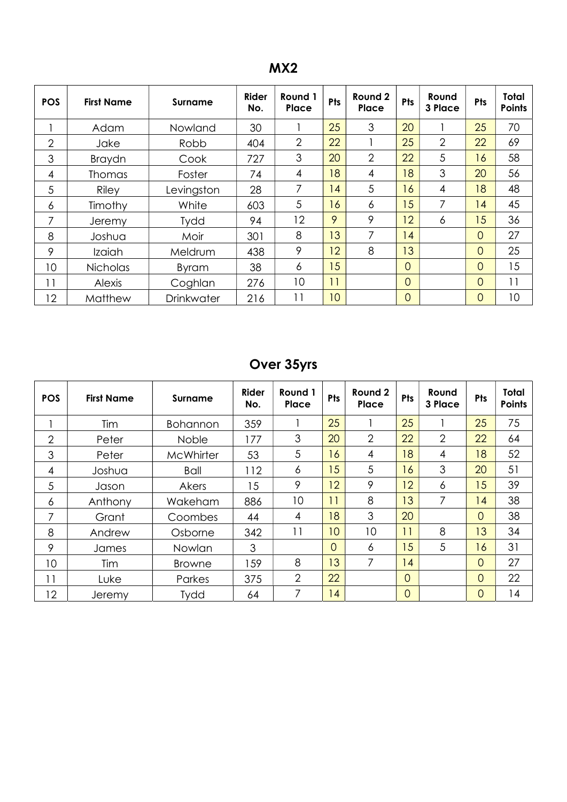### MX2

| <b>POS</b>     | <b>First Name</b> | Surname      | Rider<br>No. | Round 1<br>Place | <b>Pts</b>      | Round 2<br>Place | <b>Pts</b>     | Round<br>3 Place | <b>Pts</b>     | <b>Total</b><br><b>Points</b> |
|----------------|-------------------|--------------|--------------|------------------|-----------------|------------------|----------------|------------------|----------------|-------------------------------|
|                | Adam              | Nowland      | 30           |                  | 25              | 3                | 20             |                  | 25             | 70                            |
| $\overline{2}$ | Jake              | Robb         | 404          | $\overline{2}$   | 22              |                  | 25             | $\overline{2}$   | 22             | 69                            |
| 3              | <b>Braydn</b>     | Cook         | 727          | 3                | 20              | $\overline{2}$   | 22             | 5                | 16             | 58                            |
| 4              | <b>Thomas</b>     | Foster       | 74           | 4                | 18              | 4                | 18             | 3                | 20             | 56                            |
| 5              | Riley             | Levingston   | 28           | 7                | 14              | 5                | 16             | 4                | 18             | 48                            |
| 6              | Timothy           | White        | 603          | 5                | 16              | 6                | 15             | 7                | 14             | 45                            |
| 7              | Jeremy            | Tydd         | 94           | 12               | 9               | 9                | 12             | 6                | 15             | 36                            |
| 8              | Joshua            | Moir         | 301          | 8                | 13 <sup>°</sup> | 7                | 4              |                  | $\overline{0}$ | 27                            |
| 9              | Izaiah            | Meldrum      | 438          | 9                | 12              | 8                | 13             |                  | $\overline{0}$ | 25                            |
| 10             | <b>Nicholas</b>   | <b>Byram</b> | 38           | 6                | 15              |                  | $\overline{O}$ |                  | $\overline{O}$ | 15                            |
| 11             | Alexis            | Coghlan      | 276          | 10               | 11              |                  | $\overline{0}$ |                  | $\overline{0}$ | 11                            |
| 12             | Matthew           | Drinkwater   | 216          | 11               | 10              |                  | $\overline{0}$ |                  | $\overline{0}$ | 10                            |

# Over 35yrs

| <b>POS</b>     | <b>First Name</b> | Surname         | <b>Rider</b><br>No. | Round 1<br>Place | <b>Pts</b> | Round 2<br>Place | <b>Pts</b>     | Round<br>3 Place | <b>Pts</b>     | Total<br><b>Points</b> |
|----------------|-------------------|-----------------|---------------------|------------------|------------|------------------|----------------|------------------|----------------|------------------------|
|                | Tim               | <b>Bohannon</b> | 359                 |                  | 25         |                  | 25             |                  | 25             | 75                     |
| $\overline{2}$ | Peter             | Noble           | 177                 | 3                | 20         | $\overline{2}$   | 22             | $\overline{2}$   | 22             | 64                     |
| 3              | Peter             | McWhirter       | 53                  | 5                | 16         | 4                | 18             | 4                | 18             | 52                     |
| 4              | Joshua            | <b>Ball</b>     | 112                 | 6                | $\sqrt{5}$ | 5                | 16             | 3                | 20             | 51                     |
| 5              | Jason             | Akers           | 15                  | 9                | 2          | 9                | 12             | 6                | 15             | 39                     |
| 6              | Anthony           | Wakeham         | 886                 | 10               | 11         | 8                | 13             | 7                | 14             | 38                     |
| 7              | Grant             | Coombes         | 44                  | 4                | 18         | 3                | 20             |                  | $\Omega$       | 38                     |
| 8              | Andrew            | Osborne         | 342                 | 11               | 10         | 10               | 11             | 8                | 13             | 34                     |
| 9              | James             | Nowlan          | 3                   |                  | $\Omega$   | 6                | $\overline{5}$ | 5                | 16             | 31                     |
| 10             | Tim               | <b>Browne</b>   | 159                 | 8                | 13         | 7                | 4              |                  | $\overline{O}$ | 27                     |
| 11             | Luke              | Parkes          | 375                 | $\overline{2}$   | 22         |                  | $\overline{O}$ |                  | $\overline{0}$ | 22                     |
| 12             | Jeremy            | Tydd            | 64                  | 7                | 4          |                  | $\overline{0}$ |                  | $\Omega$       | 14                     |